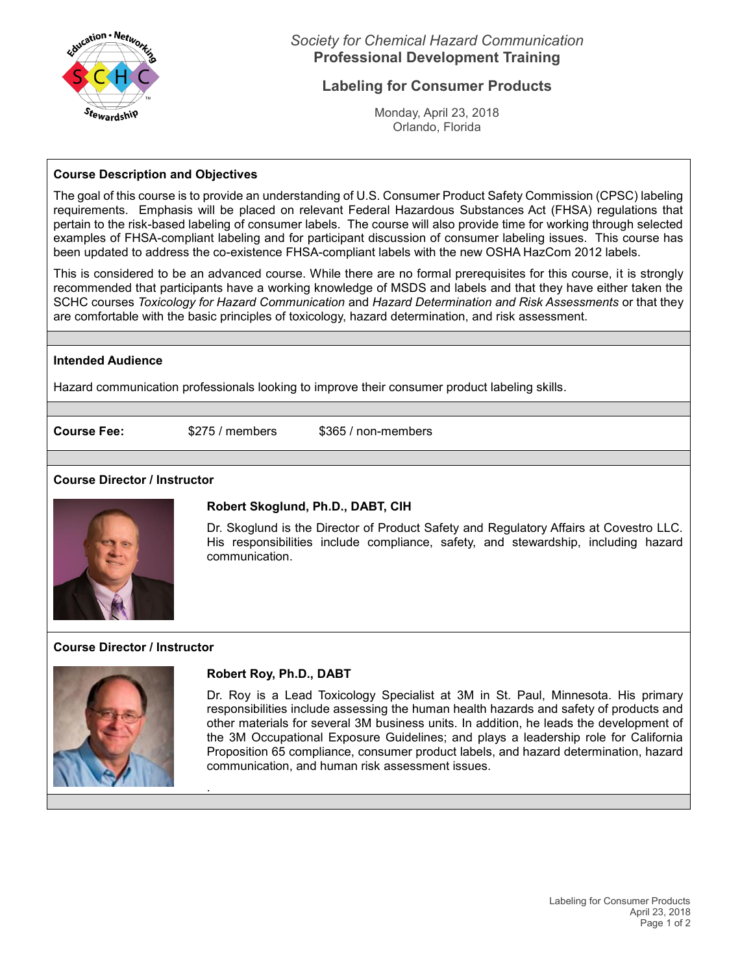

# *Society for Chemical Hazard Communication* **Professional Development Training**

# **Labeling for Consumer Products**

Monday, April 23, 2018 Orlando, Florida

### **Course Description and Objectives**

The goal of this course is to provide an understanding of U.S. Consumer Product Safety Commission (CPSC) labeling requirements. Emphasis will be placed on relevant Federal Hazardous Substances Act (FHSA) regulations that pertain to the risk-based labeling of consumer labels. The course will also provide time for working through selected examples of FHSA-compliant labeling and for participant discussion of consumer labeling issues. This course has been updated to address the co-existence FHSA-compliant labels with the new OSHA HazCom 2012 labels.

This is considered to be an advanced course. While there are no formal prerequisites for this course, it is strongly recommended that participants have a working knowledge of MSDS and labels and that they have either taken the SCHC courses *Toxicology for Hazard Communication* and *Hazard Determination and Risk Assessments* or that they are comfortable with the basic principles of toxicology, hazard determination, and risk assessment.

#### **Intended Audience**

Hazard communication professionals looking to improve their consumer product labeling skills.

**Course Fee:** \$275 / members \$365 / non-members

## **Course Director / Instructor**



## **Robert Skoglund, Ph.D., DABT, CIH**

Dr. Skoglund is the Director of Product Safety and Regulatory Affairs at Covestro LLC. His responsibilities include compliance, safety, and stewardship, including hazard communication.

## **Course Director / Instructor**



#### **Robert Roy, Ph.D., DABT**

.

Dr. Roy is a Lead Toxicology Specialist at 3M in St. Paul, Minnesota. His primary responsibilities include assessing the human health hazards and safety of products and other materials for several 3M business units. In addition, he leads the development of the 3M Occupational Exposure Guidelines; and plays a leadership role for California Proposition 65 compliance, consumer product labels, and hazard determination, hazard communication, and human risk assessment issues.